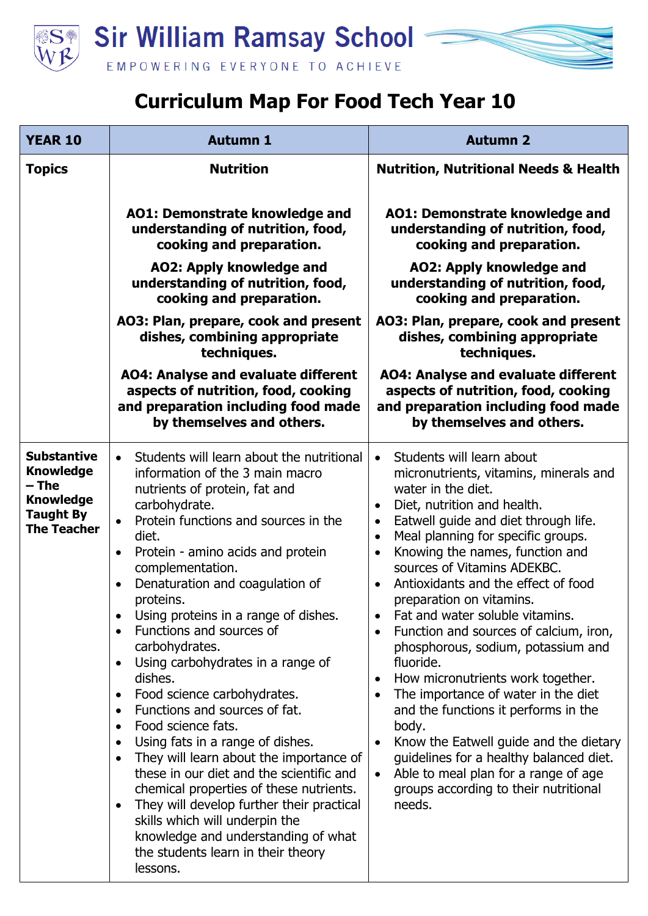

## **Curriculum Map For Food Tech Year 10**

| <b>YEAR 10</b>                                                                                                | <b>Autumn 1</b>                                                                                                                                                                                                                                                                                                                                                                                                                                                                                                                                                                                                                                                                                                                                                                                                                                                                                                                                                                         | <b>Autumn 2</b>                                                                                                                                                                                                                                                                                                                                                                                                                                                                                                                                                                                                                                                                                                                                                                                                                                                                                               |
|---------------------------------------------------------------------------------------------------------------|-----------------------------------------------------------------------------------------------------------------------------------------------------------------------------------------------------------------------------------------------------------------------------------------------------------------------------------------------------------------------------------------------------------------------------------------------------------------------------------------------------------------------------------------------------------------------------------------------------------------------------------------------------------------------------------------------------------------------------------------------------------------------------------------------------------------------------------------------------------------------------------------------------------------------------------------------------------------------------------------|---------------------------------------------------------------------------------------------------------------------------------------------------------------------------------------------------------------------------------------------------------------------------------------------------------------------------------------------------------------------------------------------------------------------------------------------------------------------------------------------------------------------------------------------------------------------------------------------------------------------------------------------------------------------------------------------------------------------------------------------------------------------------------------------------------------------------------------------------------------------------------------------------------------|
| <b>Topics</b>                                                                                                 | <b>Nutrition</b>                                                                                                                                                                                                                                                                                                                                                                                                                                                                                                                                                                                                                                                                                                                                                                                                                                                                                                                                                                        | <b>Nutrition, Nutritional Needs &amp; Health</b>                                                                                                                                                                                                                                                                                                                                                                                                                                                                                                                                                                                                                                                                                                                                                                                                                                                              |
|                                                                                                               | AO1: Demonstrate knowledge and<br>understanding of nutrition, food,<br>cooking and preparation.                                                                                                                                                                                                                                                                                                                                                                                                                                                                                                                                                                                                                                                                                                                                                                                                                                                                                         | AO1: Demonstrate knowledge and<br>understanding of nutrition, food,<br>cooking and preparation.                                                                                                                                                                                                                                                                                                                                                                                                                                                                                                                                                                                                                                                                                                                                                                                                               |
|                                                                                                               | <b>AO2: Apply knowledge and</b><br>understanding of nutrition, food,<br>cooking and preparation.                                                                                                                                                                                                                                                                                                                                                                                                                                                                                                                                                                                                                                                                                                                                                                                                                                                                                        | AO2: Apply knowledge and<br>understanding of nutrition, food,<br>cooking and preparation.                                                                                                                                                                                                                                                                                                                                                                                                                                                                                                                                                                                                                                                                                                                                                                                                                     |
|                                                                                                               | AO3: Plan, prepare, cook and present<br>dishes, combining appropriate<br>techniques.                                                                                                                                                                                                                                                                                                                                                                                                                                                                                                                                                                                                                                                                                                                                                                                                                                                                                                    | AO3: Plan, prepare, cook and present<br>dishes, combining appropriate<br>techniques.                                                                                                                                                                                                                                                                                                                                                                                                                                                                                                                                                                                                                                                                                                                                                                                                                          |
|                                                                                                               | <b>AO4: Analyse and evaluate different</b><br>aspects of nutrition, food, cooking<br>and preparation including food made<br>by themselves and others.                                                                                                                                                                                                                                                                                                                                                                                                                                                                                                                                                                                                                                                                                                                                                                                                                                   | <b>AO4: Analyse and evaluate different</b><br>aspects of nutrition, food, cooking<br>and preparation including food made<br>by themselves and others.                                                                                                                                                                                                                                                                                                                                                                                                                                                                                                                                                                                                                                                                                                                                                         |
| <b>Substantive</b><br><b>Knowledge</b><br>– The<br><b>Knowledge</b><br><b>Taught By</b><br><b>The Teacher</b> | Students will learn about the nutritional<br>$\bullet$<br>information of the 3 main macro<br>nutrients of protein, fat and<br>carbohydrate.<br>Protein functions and sources in the<br>$\bullet$<br>diet.<br>Protein - amino acids and protein<br>$\bullet$<br>complementation.<br>Denaturation and coagulation of<br>proteins.<br>Using proteins in a range of dishes.<br>Functions and sources of<br>carbohydrates.<br>Using carbohydrates in a range of<br>$\bullet$<br>dishes.<br>Food science carbohydrates.<br>$\bullet$<br>Functions and sources of fat.<br>$\bullet$<br>Food science fats.<br>Using fats in a range of dishes.<br>$\bullet$<br>They will learn about the importance of<br>$\bullet$<br>these in our diet and the scientific and<br>chemical properties of these nutrients.<br>They will develop further their practical<br>$\bullet$<br>skills which will underpin the<br>knowledge and understanding of what<br>the students learn in their theory<br>lessons. | Students will learn about<br>$\bullet$<br>micronutrients, vitamins, minerals and<br>water in the diet.<br>Diet, nutrition and health.<br>$\bullet$<br>Eatwell guide and diet through life.<br>$\bullet$<br>Meal planning for specific groups.<br>$\bullet$<br>Knowing the names, function and<br>$\bullet$<br>sources of Vitamins ADEKBC.<br>Antioxidants and the effect of food<br>$\bullet$<br>preparation on vitamins.<br>Fat and water soluble vitamins.<br>Function and sources of calcium, iron,<br>phosphorous, sodium, potassium and<br>fluoride.<br>How micronutrients work together.<br>$\bullet$<br>The importance of water in the diet<br>and the functions it performs in the<br>body.<br>Know the Eatwell guide and the dietary<br>$\bullet$<br>guidelines for a healthy balanced diet.<br>Able to meal plan for a range of age<br>$\bullet$<br>groups according to their nutritional<br>needs. |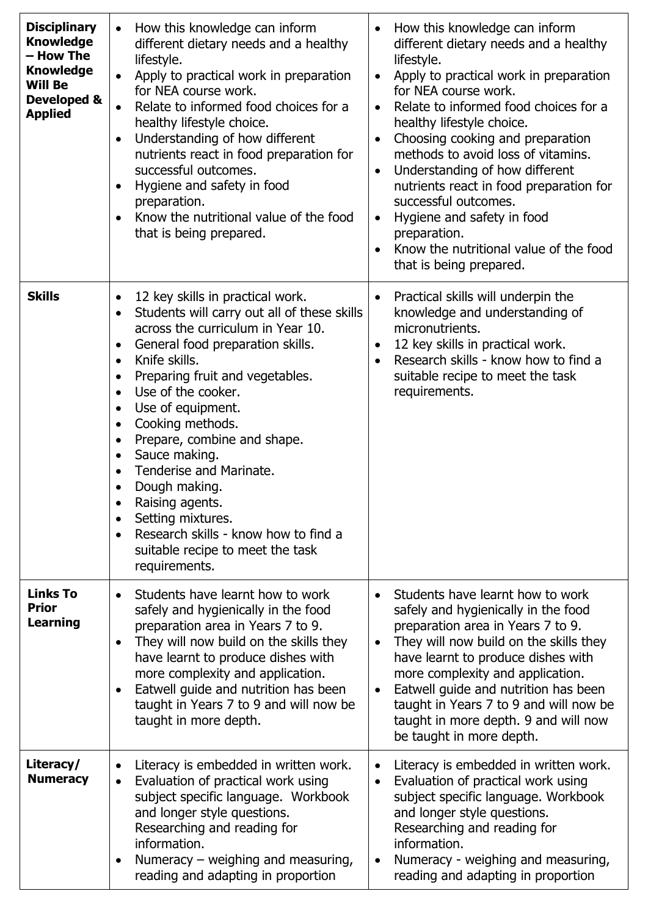| <b>Disciplinary</b><br><b>Knowledge</b><br>– How The<br><b>Knowledge</b><br><b>Will Be</b><br>Developed &<br><b>Applied</b> | How this knowledge can inform<br>different dietary needs and a healthy<br>lifestyle.<br>Apply to practical work in preparation<br>$\bullet$<br>for NEA course work.<br>Relate to informed food choices for a<br>$\bullet$<br>healthy lifestyle choice.<br>Understanding of how different<br>$\bullet$<br>nutrients react in food preparation for<br>successful outcomes.<br>Hygiene and safety in food<br>$\bullet$<br>preparation.<br>Know the nutritional value of the food<br>that is being prepared.                                                                                                                                                                      | How this knowledge can inform<br>$\bullet$<br>different dietary needs and a healthy<br>lifestyle.<br>Apply to practical work in preparation<br>$\bullet$<br>for NEA course work.<br>Relate to informed food choices for a<br>$\bullet$<br>healthy lifestyle choice.<br>Choosing cooking and preparation<br>$\bullet$<br>methods to avoid loss of vitamins.<br>Understanding of how different<br>$\bullet$<br>nutrients react in food preparation for<br>successful outcomes.<br>Hygiene and safety in food<br>$\bullet$<br>preparation.<br>Know the nutritional value of the food<br>that is being prepared. |
|-----------------------------------------------------------------------------------------------------------------------------|-------------------------------------------------------------------------------------------------------------------------------------------------------------------------------------------------------------------------------------------------------------------------------------------------------------------------------------------------------------------------------------------------------------------------------------------------------------------------------------------------------------------------------------------------------------------------------------------------------------------------------------------------------------------------------|--------------------------------------------------------------------------------------------------------------------------------------------------------------------------------------------------------------------------------------------------------------------------------------------------------------------------------------------------------------------------------------------------------------------------------------------------------------------------------------------------------------------------------------------------------------------------------------------------------------|
| <b>Skills</b>                                                                                                               | 12 key skills in practical work.<br>$\bullet$<br>Students will carry out all of these skills<br>$\bullet$<br>across the curriculum in Year 10.<br>General food preparation skills.<br>$\bullet$<br>Knife skills.<br>$\bullet$<br>Preparing fruit and vegetables.<br>$\bullet$<br>Use of the cooker.<br>$\bullet$<br>Use of equipment.<br>$\bullet$<br>Cooking methods.<br>$\bullet$<br>Prepare, combine and shape.<br>$\bullet$<br>Sauce making.<br>$\bullet$<br>Tenderise and Marinate.<br>$\bullet$<br>Dough making.<br>٠<br>Raising agents.<br>Setting mixtures.<br>Research skills - know how to find a<br>$\bullet$<br>suitable recipe to meet the task<br>requirements. | Practical skills will underpin the<br>$\bullet$<br>knowledge and understanding of<br>micronutrients.<br>12 key skills in practical work.<br>$\bullet$<br>Research skills - know how to find a<br>suitable recipe to meet the task<br>requirements.                                                                                                                                                                                                                                                                                                                                                           |
| <b>Links To</b><br><b>Prior</b><br><b>Learning</b>                                                                          | Students have learnt how to work<br>$\bullet$<br>safely and hygienically in the food<br>preparation area in Years 7 to 9.<br>They will now build on the skills they<br>$\bullet$<br>have learnt to produce dishes with<br>more complexity and application.<br>Eatwell guide and nutrition has been<br>$\bullet$<br>taught in Years 7 to 9 and will now be<br>taught in more depth.                                                                                                                                                                                                                                                                                            | Students have learnt how to work<br>safely and hygienically in the food<br>preparation area in Years 7 to 9.<br>They will now build on the skills they<br>$\bullet$<br>have learnt to produce dishes with<br>more complexity and application.<br>Eatwell guide and nutrition has been<br>$\bullet$<br>taught in Years 7 to 9 and will now be<br>taught in more depth. 9 and will now<br>be taught in more depth.                                                                                                                                                                                             |
| Literacy/<br><b>Numeracy</b>                                                                                                | Literacy is embedded in written work.<br>$\bullet$<br>Evaluation of practical work using<br>$\bullet$<br>subject specific language. Workbook<br>and longer style questions.<br>Researching and reading for<br>information.<br>Numeracy – weighing and measuring,<br>$\bullet$<br>reading and adapting in proportion                                                                                                                                                                                                                                                                                                                                                           | Literacy is embedded in written work.<br>$\bullet$<br>Evaluation of practical work using<br>$\bullet$<br>subject specific language. Workbook<br>and longer style questions.<br>Researching and reading for<br>information.<br>Numeracy - weighing and measuring,<br>$\bullet$<br>reading and adapting in proportion                                                                                                                                                                                                                                                                                          |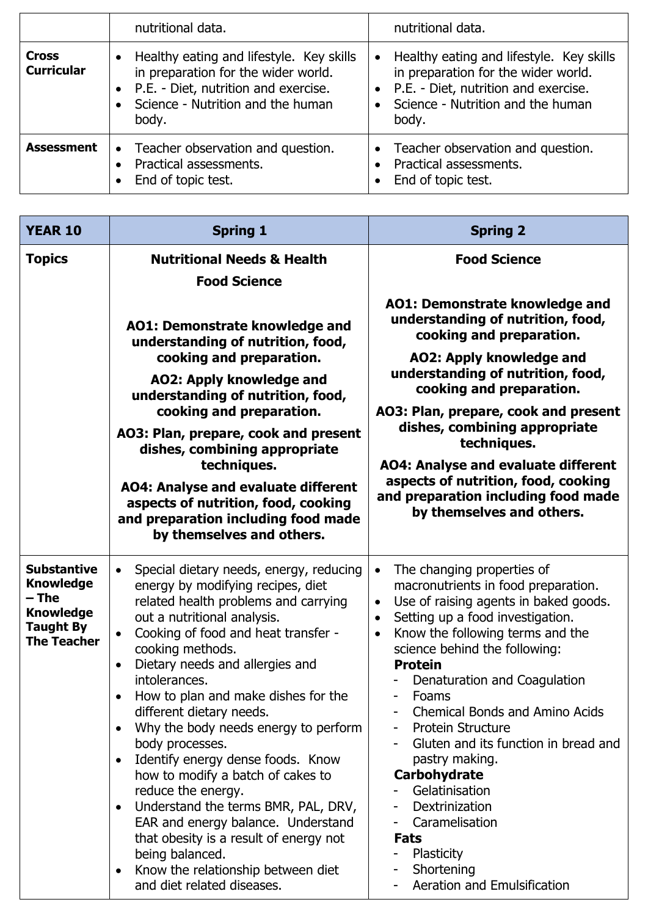|                                   | nutritional data.                                                                                                                                                                    | nutritional data.                                                                                                                                                       |
|-----------------------------------|--------------------------------------------------------------------------------------------------------------------------------------------------------------------------------------|-------------------------------------------------------------------------------------------------------------------------------------------------------------------------|
| <b>Cross</b><br><b>Curricular</b> | Healthy eating and lifestyle. Key skills<br>$\bullet$<br>in preparation for the wider world.<br>• P.E. - Diet, nutrition and exercise.<br>Science - Nutrition and the human<br>body. | Healthy eating and lifestyle. Key skills<br>in preparation for the wider world.<br>• P.E. - Diet, nutrition and exercise.<br>Science - Nutrition and the human<br>body. |
| <b>Assessment</b>                 | Teacher observation and question.<br>$\bullet$<br>Practical assessments.<br>End of topic test.                                                                                       | Teacher observation and question.<br>Practical assessments.<br>End of topic test.                                                                                       |

| <b>YEAR 10</b>                                                                                                  | <b>Spring 1</b>                                                                                                                                                                                                                                                                                                                                                                                                                                                                                                                                                                                                                                                                                                                                                                                                        | <b>Spring 2</b>                                                                                                                                                                                                                                                                                                                                                                                                                                                                                                                                                                                                                                                        |
|-----------------------------------------------------------------------------------------------------------------|------------------------------------------------------------------------------------------------------------------------------------------------------------------------------------------------------------------------------------------------------------------------------------------------------------------------------------------------------------------------------------------------------------------------------------------------------------------------------------------------------------------------------------------------------------------------------------------------------------------------------------------------------------------------------------------------------------------------------------------------------------------------------------------------------------------------|------------------------------------------------------------------------------------------------------------------------------------------------------------------------------------------------------------------------------------------------------------------------------------------------------------------------------------------------------------------------------------------------------------------------------------------------------------------------------------------------------------------------------------------------------------------------------------------------------------------------------------------------------------------------|
| <b>Topics</b>                                                                                                   | <b>Nutritional Needs &amp; Health</b>                                                                                                                                                                                                                                                                                                                                                                                                                                                                                                                                                                                                                                                                                                                                                                                  | <b>Food Science</b>                                                                                                                                                                                                                                                                                                                                                                                                                                                                                                                                                                                                                                                    |
|                                                                                                                 | <b>Food Science</b><br><b>AO1: Demonstrate knowledge and</b><br>understanding of nutrition, food,<br>cooking and preparation.<br><b>AO2: Apply knowledge and</b><br>understanding of nutrition, food,<br>cooking and preparation.<br>AO3: Plan, prepare, cook and present<br>dishes, combining appropriate<br>techniques.<br><b>AO4: Analyse and evaluate different</b><br>aspects of nutrition, food, cooking<br>and preparation including food made<br>by themselves and others.                                                                                                                                                                                                                                                                                                                                     | AO1: Demonstrate knowledge and<br>understanding of nutrition, food,<br>cooking and preparation.<br><b>AO2: Apply knowledge and</b><br>understanding of nutrition, food,<br>cooking and preparation.<br>AO3: Plan, prepare, cook and present<br>dishes, combining appropriate<br>techniques.<br><b>AO4: Analyse and evaluate different</b><br>aspects of nutrition, food, cooking<br>and preparation including food made<br>by themselves and others.                                                                                                                                                                                                                   |
| <b>Substantive</b><br><b>Knowledge</b><br>$-$ The<br><b>Knowledge</b><br><b>Taught By</b><br><b>The Teacher</b> | Special dietary needs, energy, reducing<br>$\bullet$<br>energy by modifying recipes, diet<br>related health problems and carrying<br>out a nutritional analysis.<br>Cooking of food and heat transfer -<br>$\bullet$<br>cooking methods.<br>Dietary needs and allergies and<br>$\bullet$<br>intolerances.<br>How to plan and make dishes for the<br>$\bullet$<br>different dietary needs.<br>Why the body needs energy to perform<br>$\bullet$<br>body processes.<br>Identify energy dense foods. Know<br>$\bullet$<br>how to modify a batch of cakes to<br>reduce the energy.<br>Understand the terms BMR, PAL, DRV,<br>$\bullet$<br>EAR and energy balance. Understand<br>that obesity is a result of energy not<br>being balanced.<br>Know the relationship between diet<br>$\bullet$<br>and diet related diseases. | The changing properties of<br>$\bullet$<br>macronutrients in food preparation.<br>Use of raising agents in baked goods.<br>$\bullet$<br>Setting up a food investigation.<br>$\bullet$<br>Know the following terms and the<br>$\bullet$<br>science behind the following:<br><b>Protein</b><br>Denaturation and Coagulation<br>Foams<br>$\overline{\phantom{a}}$<br><b>Chemical Bonds and Amino Acids</b><br><b>Protein Structure</b><br>Gluten and its function in bread and<br>pastry making.<br>Carbohydrate<br>Gelatinisation<br>Dextrinization<br>Caramelisation<br>Fats<br>Plasticity<br>Shortening<br>$\qquad \qquad \blacksquare$<br>Aeration and Emulsification |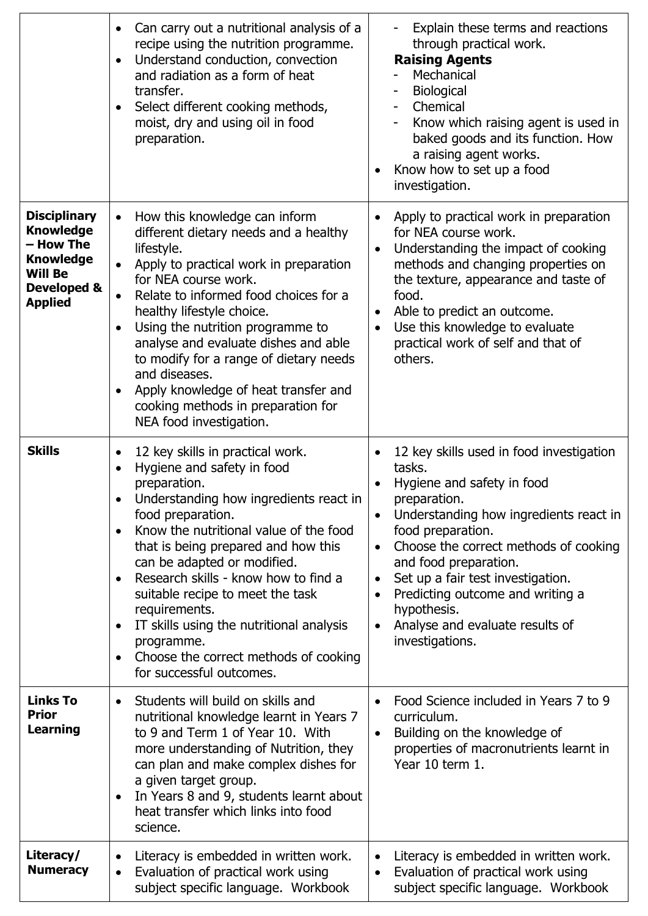|                                                                                                                             | Can carry out a nutritional analysis of a<br>$\bullet$<br>recipe using the nutrition programme.<br>Understand conduction, convection<br>$\bullet$<br>and radiation as a form of heat<br>transfer.<br>Select different cooking methods,<br>$\bullet$<br>moist, dry and using oil in food<br>preparation.                                                                                                                                                                                                                                                                 | Explain these terms and reactions<br>$\overline{\phantom{a}}$<br>through practical work.<br><b>Raising Agents</b><br>Mechanical<br>Biological<br>Chemical<br>$\overline{\phantom{a}}$<br>Know which raising agent is used in<br>baked goods and its function. How<br>a raising agent works.<br>Know how to set up a food<br>investigation.                                                                                          |
|-----------------------------------------------------------------------------------------------------------------------------|-------------------------------------------------------------------------------------------------------------------------------------------------------------------------------------------------------------------------------------------------------------------------------------------------------------------------------------------------------------------------------------------------------------------------------------------------------------------------------------------------------------------------------------------------------------------------|-------------------------------------------------------------------------------------------------------------------------------------------------------------------------------------------------------------------------------------------------------------------------------------------------------------------------------------------------------------------------------------------------------------------------------------|
| <b>Disciplinary</b><br><b>Knowledge</b><br>– How The<br><b>Knowledge</b><br><b>Will Be</b><br>Developed &<br><b>Applied</b> | How this knowledge can inform<br>$\bullet$<br>different dietary needs and a healthy<br>lifestyle.<br>Apply to practical work in preparation<br>$\bullet$<br>for NEA course work.<br>Relate to informed food choices for a<br>$\bullet$<br>healthy lifestyle choice.<br>Using the nutrition programme to<br>$\bullet$<br>analyse and evaluate dishes and able<br>to modify for a range of dietary needs<br>and diseases.<br>Apply knowledge of heat transfer and<br>$\bullet$<br>cooking methods in preparation for<br>NEA food investigation.                           | Apply to practical work in preparation<br>$\bullet$<br>for NEA course work.<br>Understanding the impact of cooking<br>$\bullet$<br>methods and changing properties on<br>the texture, appearance and taste of<br>food.<br>Able to predict an outcome.<br>Use this knowledge to evaluate<br>$\bullet$<br>practical work of self and that of<br>others.                                                                               |
| <b>Skills</b>                                                                                                               | 12 key skills in practical work.<br>$\bullet$<br>Hygiene and safety in food<br>$\bullet$<br>preparation.<br>Understanding how ingredients react in<br>food preparation.<br>Know the nutritional value of the food<br>$\bullet$<br>that is being prepared and how this<br>can be adapted or modified.<br>Research skills - know how to find a<br>$\bullet$<br>suitable recipe to meet the task<br>requirements.<br>IT skills using the nutritional analysis<br>$\bullet$<br>programme.<br>Choose the correct methods of cooking<br>$\bullet$<br>for successful outcomes. | 12 key skills used in food investigation<br>tasks.<br>Hygiene and safety in food<br>preparation.<br>Understanding how ingredients react in<br>food preparation.<br>Choose the correct methods of cooking<br>$\bullet$<br>and food preparation.<br>Set up a fair test investigation.<br>$\bullet$<br>Predicting outcome and writing a<br>$\bullet$<br>hypothesis.<br>Analyse and evaluate results of<br>$\bullet$<br>investigations. |
| <b>Links To</b><br><b>Prior</b><br><b>Learning</b>                                                                          | Students will build on skills and<br>$\bullet$<br>nutritional knowledge learnt in Years 7<br>to 9 and Term 1 of Year 10. With<br>more understanding of Nutrition, they<br>can plan and make complex dishes for<br>a given target group.<br>In Years 8 and 9, students learnt about<br>$\bullet$<br>heat transfer which links into food<br>science.                                                                                                                                                                                                                      | Food Science included in Years 7 to 9<br>$\bullet$<br>curriculum.<br>Building on the knowledge of<br>$\bullet$<br>properties of macronutrients learnt in<br>Year 10 term 1.                                                                                                                                                                                                                                                         |
| Literacy/<br><b>Numeracy</b>                                                                                                | Literacy is embedded in written work.<br>$\bullet$<br>Evaluation of practical work using<br>$\bullet$<br>subject specific language. Workbook                                                                                                                                                                                                                                                                                                                                                                                                                            | Literacy is embedded in written work.<br>$\bullet$<br>Evaluation of practical work using<br>$\bullet$<br>subject specific language. Workbook                                                                                                                                                                                                                                                                                        |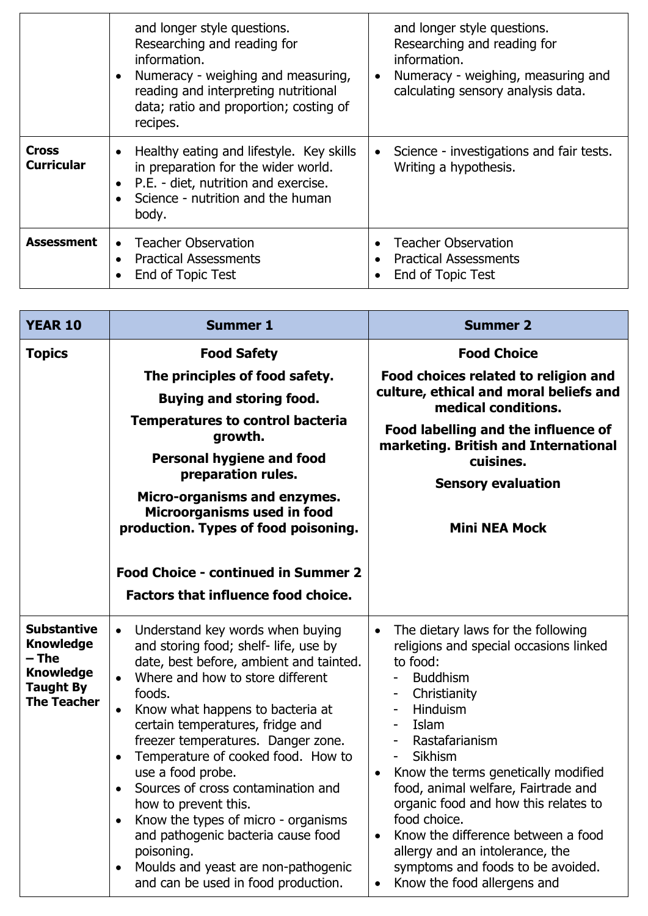|                                   | and longer style questions.<br>Researching and reading for<br>information.<br>Numeracy - weighing and measuring,<br>reading and interpreting nutritional<br>data; ratio and proportion; costing of<br>recipes. | and longer style questions.<br>Researching and reading for<br>information.<br>Numeracy - weighing, measuring and<br>$\bullet$<br>calculating sensory analysis data. |
|-----------------------------------|----------------------------------------------------------------------------------------------------------------------------------------------------------------------------------------------------------------|---------------------------------------------------------------------------------------------------------------------------------------------------------------------|
| <b>Cross</b><br><b>Curricular</b> | Healthy eating and lifestyle. Key skills<br>in preparation for the wider world.<br>P.E. - diet, nutrition and exercise.<br>Science - nutrition and the human<br>body.                                          | Science - investigations and fair tests.<br>Writing a hypothesis.                                                                                                   |
| <b>Assessment</b>                 | <b>Teacher Observation</b><br>$\bullet$<br><b>Practical Assessments</b><br>End of Topic Test                                                                                                                   | • Teacher Observation<br><b>Practical Assessments</b><br>End of Topic Test                                                                                          |

| <b>YEAR 10</b>                                                                                                | <b>Summer 1</b>                                                                                                                                                                                                                                                                                                                                                                                                                                                                                                                                                                                                                                                               | <b>Summer 2</b>                                                                                                                                                                                                                                                                                                                                                                                                                                                                                                                                                              |
|---------------------------------------------------------------------------------------------------------------|-------------------------------------------------------------------------------------------------------------------------------------------------------------------------------------------------------------------------------------------------------------------------------------------------------------------------------------------------------------------------------------------------------------------------------------------------------------------------------------------------------------------------------------------------------------------------------------------------------------------------------------------------------------------------------|------------------------------------------------------------------------------------------------------------------------------------------------------------------------------------------------------------------------------------------------------------------------------------------------------------------------------------------------------------------------------------------------------------------------------------------------------------------------------------------------------------------------------------------------------------------------------|
| <b>Topics</b>                                                                                                 | <b>Food Safety</b><br>The principles of food safety.<br><b>Buying and storing food.</b><br><b>Temperatures to control bacteria</b><br>growth.<br><b>Personal hygiene and food</b><br>preparation rules.<br>Micro-organisms and enzymes.<br>Microorganisms used in food<br>production. Types of food poisoning.                                                                                                                                                                                                                                                                                                                                                                | <b>Food Choice</b><br>Food choices related to religion and<br>culture, ethical and moral beliefs and<br>medical conditions.<br>Food labelling and the influence of<br>marketing. British and International<br>cuisines.<br><b>Sensory evaluation</b><br><b>Mini NEA Mock</b>                                                                                                                                                                                                                                                                                                 |
|                                                                                                               | <b>Food Choice - continued in Summer 2</b><br><b>Factors that influence food choice.</b>                                                                                                                                                                                                                                                                                                                                                                                                                                                                                                                                                                                      |                                                                                                                                                                                                                                                                                                                                                                                                                                                                                                                                                                              |
| <b>Substantive</b><br><b>Knowledge</b><br>– The<br><b>Knowledge</b><br><b>Taught By</b><br><b>The Teacher</b> | Understand key words when buying<br>$\bullet$<br>and storing food; shelf- life, use by<br>date, best before, ambient and tainted.<br>Where and how to store different<br>$\bullet$<br>foods.<br>Know what happens to bacteria at<br>$\bullet$<br>certain temperatures, fridge and<br>freezer temperatures. Danger zone.<br>Temperature of cooked food. How to<br>$\bullet$<br>use a food probe.<br>Sources of cross contamination and<br>$\bullet$<br>how to prevent this.<br>Know the types of micro - organisms<br>$\bullet$<br>and pathogenic bacteria cause food<br>poisoning.<br>Moulds and yeast are non-pathogenic<br>$\bullet$<br>and can be used in food production. | The dietary laws for the following<br>$\bullet$<br>religions and special occasions linked<br>to food:<br><b>Buddhism</b><br>$\overline{\phantom{a}}$<br>Christianity<br>Hinduism<br>Islam<br>Rastafarianism<br>Sikhism<br>$\overline{\phantom{a}}$<br>Know the terms genetically modified<br>$\bullet$<br>food, animal welfare, Fairtrade and<br>organic food and how this relates to<br>food choice.<br>Know the difference between a food<br>$\bullet$<br>allergy and an intolerance, the<br>symptoms and foods to be avoided.<br>Know the food allergens and<br>$\bullet$ |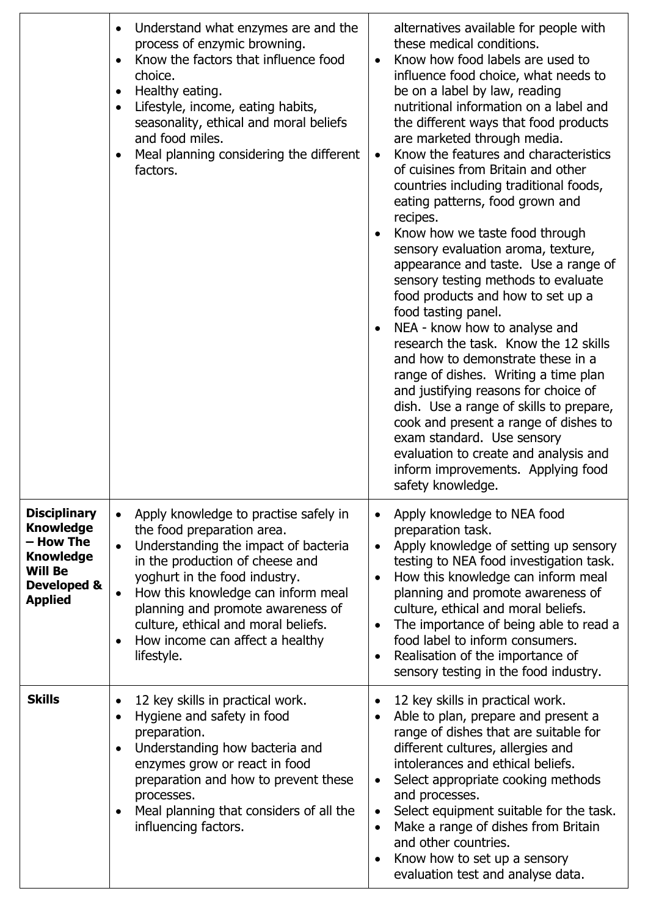|                                                                                                                             | Understand what enzymes are and the<br>$\bullet$<br>process of enzymic browning.<br>Know the factors that influence food<br>$\bullet$<br>choice.<br>Healthy eating.<br>$\bullet$<br>Lifestyle, income, eating habits,<br>$\bullet$<br>seasonality, ethical and moral beliefs<br>and food miles.<br>Meal planning considering the different<br>٠<br>factors.                               | alternatives available for people with<br>these medical conditions.<br>Know how food labels are used to<br>$\bullet$<br>influence food choice, what needs to<br>be on a label by law, reading<br>nutritional information on a label and<br>the different ways that food products<br>are marketed through media.<br>Know the features and characteristics<br>$\bullet$<br>of cuisines from Britain and other<br>countries including traditional foods,<br>eating patterns, food grown and<br>recipes.<br>Know how we taste food through<br>sensory evaluation aroma, texture,<br>appearance and taste. Use a range of<br>sensory testing methods to evaluate<br>food products and how to set up a<br>food tasting panel.<br>NEA - know how to analyse and<br>research the task. Know the 12 skills<br>and how to demonstrate these in a<br>range of dishes. Writing a time plan<br>and justifying reasons for choice of<br>dish. Use a range of skills to prepare,<br>cook and present a range of dishes to<br>exam standard. Use sensory<br>evaluation to create and analysis and<br>inform improvements. Applying food<br>safety knowledge. |
|-----------------------------------------------------------------------------------------------------------------------------|-------------------------------------------------------------------------------------------------------------------------------------------------------------------------------------------------------------------------------------------------------------------------------------------------------------------------------------------------------------------------------------------|----------------------------------------------------------------------------------------------------------------------------------------------------------------------------------------------------------------------------------------------------------------------------------------------------------------------------------------------------------------------------------------------------------------------------------------------------------------------------------------------------------------------------------------------------------------------------------------------------------------------------------------------------------------------------------------------------------------------------------------------------------------------------------------------------------------------------------------------------------------------------------------------------------------------------------------------------------------------------------------------------------------------------------------------------------------------------------------------------------------------------------------------|
| <b>Disciplinary</b><br><b>Knowledge</b><br>- How The<br><b>Knowledge</b><br><b>Will Be</b><br>Developed &<br><b>Applied</b> | Apply knowledge to practise safely in<br>the food preparation area.<br>Understanding the impact of bacteria<br>$\bullet$<br>in the production of cheese and<br>yoghurt in the food industry.<br>How this knowledge can inform meal<br>$\bullet$<br>planning and promote awareness of<br>culture, ethical and moral beliefs.<br>How income can affect a healthy<br>$\bullet$<br>lifestyle. | Apply knowledge to NEA food<br>preparation task.<br>Apply knowledge of setting up sensory<br>$\bullet$<br>testing to NEA food investigation task.<br>How this knowledge can inform meal<br>planning and promote awareness of<br>culture, ethical and moral beliefs.<br>The importance of being able to read a<br>food label to inform consumers.<br>Realisation of the importance of<br>sensory testing in the food industry.                                                                                                                                                                                                                                                                                                                                                                                                                                                                                                                                                                                                                                                                                                                |
| <b>Skills</b>                                                                                                               | 12 key skills in practical work.<br>$\bullet$<br>Hygiene and safety in food<br>$\bullet$<br>preparation.<br>Understanding how bacteria and<br>$\bullet$<br>enzymes grow or react in food<br>preparation and how to prevent these<br>processes.<br>Meal planning that considers of all the<br>$\bullet$<br>influencing factors.                                                            | 12 key skills in practical work.<br>$\bullet$<br>Able to plan, prepare and present a<br>$\bullet$<br>range of dishes that are suitable for<br>different cultures, allergies and<br>intolerances and ethical beliefs.<br>Select appropriate cooking methods<br>$\bullet$<br>and processes.<br>Select equipment suitable for the task.<br>$\bullet$<br>Make a range of dishes from Britain<br>$\bullet$<br>and other countries.<br>Know how to set up a sensory<br>evaluation test and analyse data.                                                                                                                                                                                                                                                                                                                                                                                                                                                                                                                                                                                                                                           |